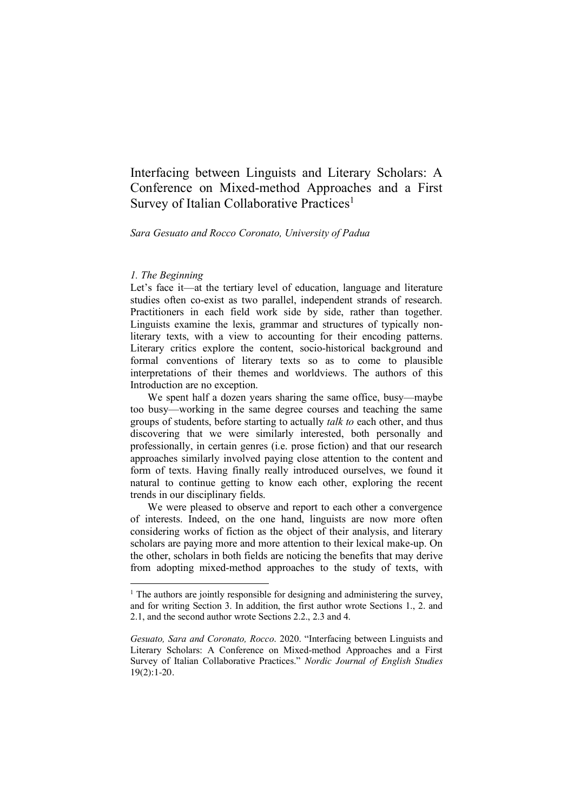Interfacing between Linguists and Literary Scholars: A Conference on Mixed-method Approaches and a First Survey of Italian Collaborative Practices<sup>1</sup>

#### *Sara Gesuato and Rocco Coronato, University of Padua*

#### *1. The Beginning*

Let's face it—at the tertiary level of education, language and literature studies often co-exist as two parallel, independent strands of research. Practitioners in each field work side by side, rather than together. Linguists examine the lexis, grammar and structures of typically nonliterary texts, with a view to accounting for their encoding patterns. Literary critics explore the content, socio-historical background and formal conventions of literary texts so as to come to plausible interpretations of their themes and worldviews. The authors of this Introduction are no exception.

We spent half a dozen years sharing the same office, busy—maybe too busy—working in the same degree courses and teaching the same groups of students, before starting to actually *talk to* each other, and thus discovering that we were similarly interested, both personally and professionally, in certain genres (i.e. prose fiction) and that our research approaches similarly involved paying close attention to the content and form of texts. Having finally really introduced ourselves, we found it natural to continue getting to know each other, exploring the recent trends in our disciplinary fields.

We were pleased to observe and report to each other a convergence of interests. Indeed, on the one hand, linguists are now more often considering works of fiction as the object of their analysis, and literary scholars are paying more and more attention to their lexical make-up. On the other, scholars in both fields are noticing the benefits that may derive from adopting mixed-method approaches to the study of texts, with

<sup>&</sup>lt;sup>1</sup> The authors are jointly responsible for designing and administering the survey, and for writing Section 3. In addition, the first author wrote Sections 1., 2. and 2.1, and the second author wrote Sections 2.2., 2.3 and 4.

*Gesuato, Sara and Coronato, Rocco*. 2020. "Interfacing between Linguists and Literary Scholars: A Conference on Mixed-method Approaches and a First Survey of Italian Collaborative Practices." *Nordic Journal of English Studies*  $19(2):1-20.$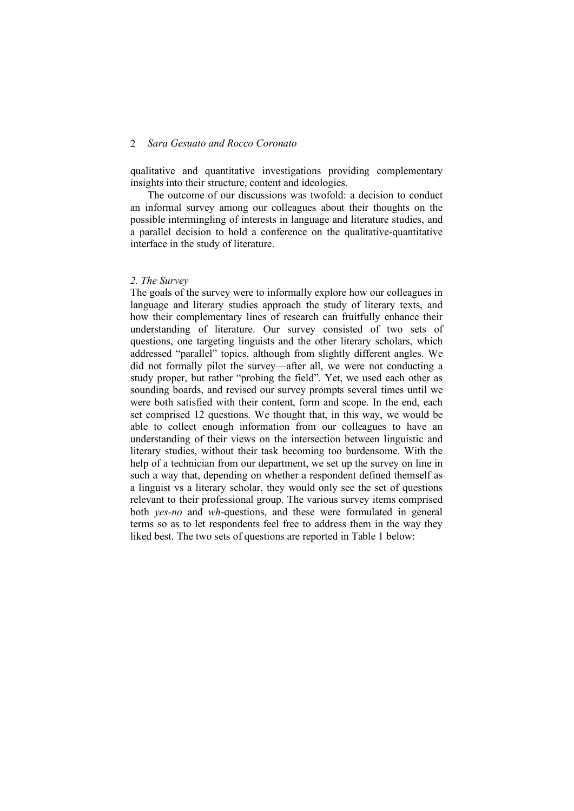qualitative and quantitative investigations providing complementary insights into their structure, content and ideologies.

The outcome of our discussions was twofold: a decision to conduct an informal survey among our colleagues about their thoughts on the possible intermingling of interests in language and literature studies, and a parallel decision to hold a conference on the qualitative-quantitative interface in the study of literature.

#### *2. The Survey*

The goals of the survey were to informally explore how our colleagues in language and literary studies approach the study of literary texts, and how their complementary lines of research can fruitfully enhance their understanding of literature. Our survey consisted of two sets of questions, one targeting linguists and the other literary scholars, which addressed "parallel" topics, although from slightly different angles. We did not formally pilot the survey—after all, we were not conducting a study proper, but rather "probing the field". Yet, we used each other as sounding boards, and revised our survey prompts several times until we were both satisfied with their content, form and scope. In the end, each set comprised 12 questions. We thought that, in this way, we would be able to collect enough information from our colleagues to have an understanding of their views on the intersection between linguistic and literary studies, without their task becoming too burdensome. With the help of a technician from our department, we set up the survey on line in such a way that, depending on whether a respondent defined themself as a linguist vs a literary scholar, they would only see the set of questions relevant to their professional group. The various survey items comprised both *yes-no* and *wh*-questions, and these were formulated in general terms so as to let respondents feel free to address them in the way they liked best. The two sets of questions are reported in Table 1 below: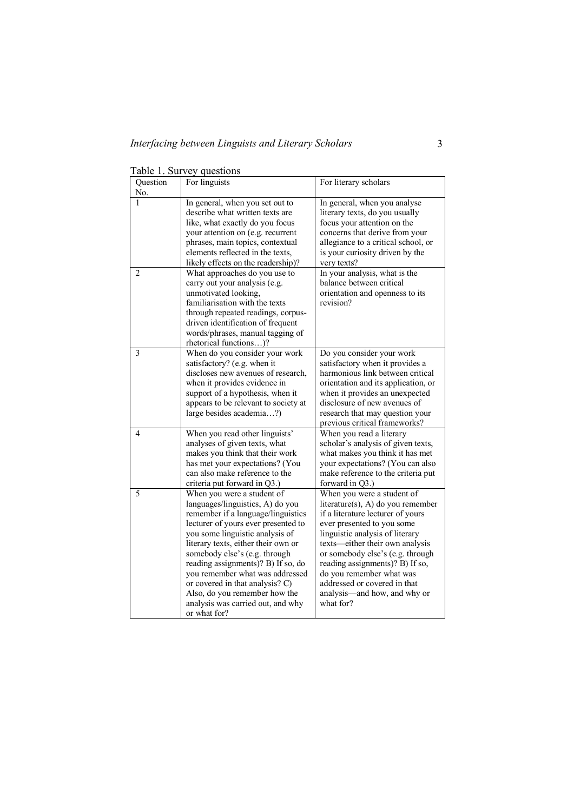| Question       | For linguists                        | For literary scholars                 |
|----------------|--------------------------------------|---------------------------------------|
| No.            |                                      |                                       |
|                | In general, when you set out to      | In general, when you analyse          |
|                | describe what written texts are      | literary texts, do you usually        |
|                | like, what exactly do you focus      | focus your attention on the           |
|                | your attention on (e.g. recurrent    | concerns that derive from your        |
|                | phrases, main topics, contextual     | allegiance to a critical school, or   |
|                | elements reflected in the texts.     | is your curiosity driven by the       |
|                | likely effects on the readership)?   | very texts?                           |
| $\overline{2}$ | What approaches do you use to        | In your analysis, what is the         |
|                | carry out your analysis (e.g.        | balance between critical              |
|                | unmotivated looking,                 | orientation and openness to its       |
|                | familiarisation with the texts       | revision?                             |
|                | through repeated readings, corpus-   |                                       |
|                | driven identification of frequent    |                                       |
|                | words/phrases, manual tagging of     |                                       |
|                | rhetorical functions)?               |                                       |
| $\overline{3}$ | When do you consider your work       | Do you consider your work             |
|                | satisfactory? (e.g. when it          | satisfactory when it provides a       |
|                | discloses new avenues of research.   | harmonious link between critical      |
|                | when it provides evidence in         | orientation and its application, or   |
|                | support of a hypothesis, when it     | when it provides an unexpected        |
|                | appears to be relevant to society at | disclosure of new avenues of          |
|                | large besides academia?)             | research that may question your       |
|                |                                      | previous critical frameworks?         |
| 4              | When you read other linguists'       | When you read a literary              |
|                | analyses of given texts, what        | scholar's analysis of given texts,    |
|                | makes you think that their work      | what makes you think it has met       |
|                | has met your expectations? (You      | your expectations? (You can also      |
|                | can also make reference to the       | make reference to the criteria put    |
|                | criteria put forward in Q3.)         | forward in Q3.)                       |
| 5              | When you were a student of           | When you were a student of            |
|                | languages/linguistics, A) do you     | literature $(s)$ , A) do you remember |
|                | remember if a language/linguistics   | if a literature lecturer of yours     |
|                | lecturer of yours ever presented to  | ever presented to you some            |
|                | you some linguistic analysis of      | linguistic analysis of literary       |
|                | literary texts, either their own or  | texts—either their own analysis       |
|                | somebody else's (e.g. through        | or somebody else's (e.g. through      |
|                | reading assignments)? B) If so, do   | reading assignments)? B) If so,       |
|                | you remember what was addressed      | do you remember what was              |
|                | or covered in that analysis? C)      | addressed or covered in that          |
|                | Also, do you remember how the        | analysis-and how, and why or          |
|                | analysis was carried out, and why    | what for?                             |
|                | or what for?                         |                                       |

|  |  |  | Table 1. Survey questions |
|--|--|--|---------------------------|
|--|--|--|---------------------------|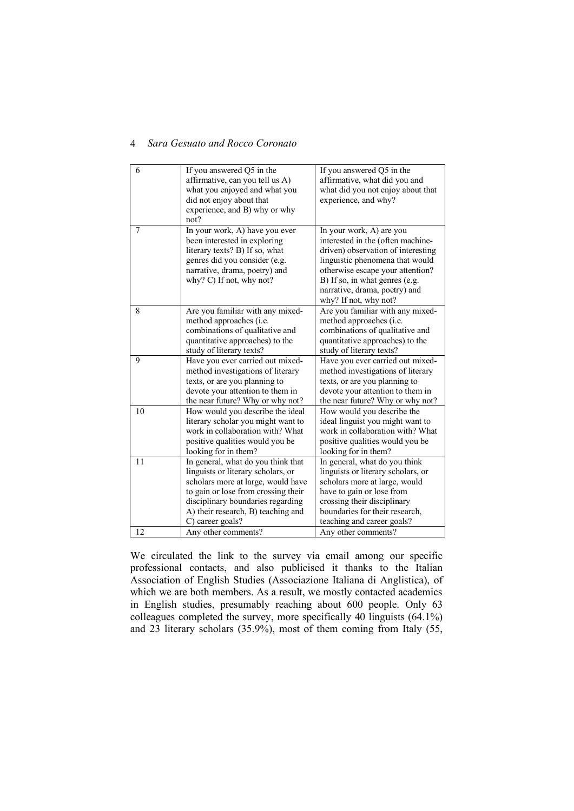| 6  | If you answered Q5 in the           | If you answered Q5 in the          |
|----|-------------------------------------|------------------------------------|
|    | affirmative, can you tell us A)     | affirmative, what did you and      |
|    | what you enjoyed and what you       | what did you not enjoy about that  |
|    | did not enjoy about that            | experience, and why?               |
|    | experience, and B) why or why       |                                    |
|    | not?                                |                                    |
| 7  | In your work, A) have you ever      | In your work, A) are you           |
|    | been interested in exploring        | interested in the (often machine-  |
|    | literary texts? B) If so, what      | driven) observation of interesting |
|    | genres did you consider (e.g.       | linguistic phenomena that would    |
|    | narrative, drama, poetry) and       | otherwise escape your attention?   |
|    | why? C) If not, why not?            | B) If so, in what genres (e.g.     |
|    |                                     | narrative, drama, poetry) and      |
|    |                                     | why? If not, why not?              |
| 8  | Are you familiar with any mixed-    | Are you familiar with any mixed-   |
|    | method approaches (i.e.             | method approaches (i.e.            |
|    | combinations of qualitative and     | combinations of qualitative and    |
|    | quantitative approaches) to the     | quantitative approaches) to the    |
|    | study of literary texts?            | study of literary texts?           |
| 9  | Have you ever carried out mixed-    | Have you ever carried out mixed-   |
|    | method investigations of literary   | method investigations of literary  |
|    | texts, or are you planning to       | texts, or are you planning to      |
|    | devote your attention to them in    | devote your attention to them in   |
|    | the near future? Why or why not?    | the near future? Why or why not?   |
| 10 | How would you describe the ideal    | How would you describe the         |
|    | literary scholar you might want to  | ideal linguist you might want to   |
|    | work in collaboration with? What    | work in collaboration with? What   |
|    | positive qualities would you be     | positive qualities would you be    |
|    | looking for in them?                | looking for in them?               |
| 11 | In general, what do you think that  | In general, what do you think      |
|    | linguists or literary scholars, or  | linguists or literary scholars, or |
|    | scholars more at large, would have  | scholars more at large, would      |
|    | to gain or lose from crossing their | have to gain or lose from          |
|    | disciplinary boundaries regarding   | crossing their disciplinary        |
|    | A) their research, B) teaching and  | boundaries for their research,     |
|    | C) career goals?                    | teaching and career goals?         |
| 12 | Any other comments?                 | Any other comments?                |

We circulated the link to the survey via email among our specific professional contacts, and also publicised it thanks to the Italian Association of English Studies (Associazione Italiana di Anglistica), of which we are both members. As a result, we mostly contacted academics in English studies, presumably reaching about 600 people. Only 63 colleagues completed the survey, more specifically 40 linguists (64.1%) and 23 literary scholars (35.9%), most of them coming from Italy (55,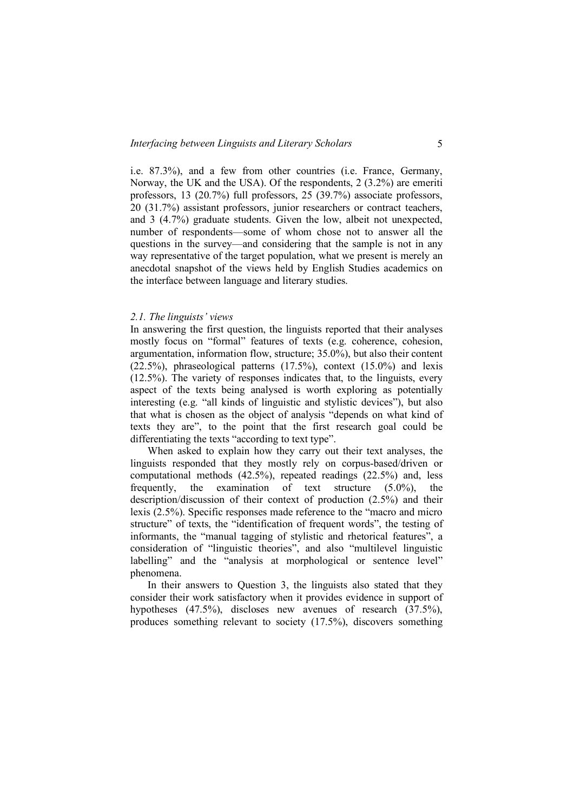i.e. 87.3%), and a few from other countries (i.e. France, Germany, Norway, the UK and the USA). Of the respondents, 2 (3.2%) are emeriti professors, 13 (20.7%) full professors, 25 (39.7%) associate professors, 20 (31.7%) assistant professors, junior researchers or contract teachers, and 3 (4.7%) graduate students. Given the low, albeit not unexpected, number of respondents—some of whom chose not to answer all the questions in the survey—and considering that the sample is not in any way representative of the target population, what we present is merely an anecdotal snapshot of the views held by English Studies academics on the interface between language and literary studies.

#### *2.1. The linguists' views*

In answering the first question, the linguists reported that their analyses mostly focus on "formal" features of texts (e.g. coherence, cohesion, argumentation, information flow, structure; 35.0%), but also their content  $(22.5\%)$ , phraseological patterns  $(17.5\%)$ , context  $(15.0\%)$  and lexis (12.5%). The variety of responses indicates that, to the linguists, every aspect of the texts being analysed is worth exploring as potentially interesting (e.g. "all kinds of linguistic and stylistic devices"), but also that what is chosen as the object of analysis "depends on what kind of texts they are", to the point that the first research goal could be differentiating the texts "according to text type".

When asked to explain how they carry out their text analyses, the linguists responded that they mostly rely on corpus-based/driven or computational methods (42.5%), repeated readings (22.5%) and, less frequently, the examination of text structure (5.0%), the description/discussion of their context of production (2.5%) and their lexis (2.5%). Specific responses made reference to the "macro and micro structure" of texts, the "identification of frequent words", the testing of informants, the "manual tagging of stylistic and rhetorical features", a consideration of "linguistic theories", and also "multilevel linguistic labelling" and the "analysis at morphological or sentence level" phenomena.

In their answers to Question 3, the linguists also stated that they consider their work satisfactory when it provides evidence in support of hypotheses (47.5%), discloses new avenues of research (37.5%), produces something relevant to society (17.5%), discovers something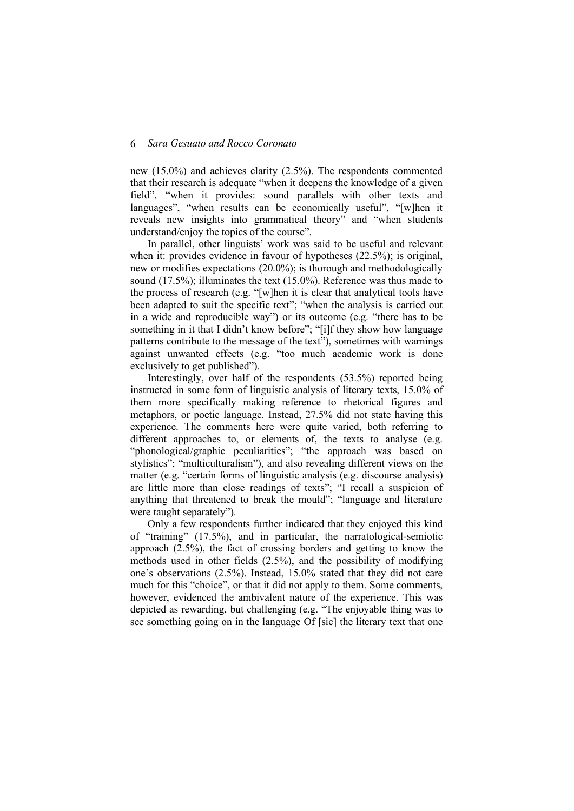new (15.0%) and achieves clarity (2.5%). The respondents commented that their research is adequate "when it deepens the knowledge of a given field", "when it provides: sound parallels with other texts and languages", "when results can be economically useful", "[w]hen it reveals new insights into grammatical theory" and "when students understand/enjoy the topics of the course".

In parallel, other linguists' work was said to be useful and relevant when it: provides evidence in favour of hypotheses (22.5%); is original, new or modifies expectations (20.0%); is thorough and methodologically sound (17.5%); illuminates the text (15.0%). Reference was thus made to the process of research (e.g. "[w]hen it is clear that analytical tools have been adapted to suit the specific text"; "when the analysis is carried out in a wide and reproducible way") or its outcome (e.g. "there has to be something in it that I didn't know before"; "[i]f they show how language patterns contribute to the message of the text"), sometimes with warnings against unwanted effects (e.g. "too much academic work is done exclusively to get published").

Interestingly, over half of the respondents (53.5%) reported being instructed in some form of linguistic analysis of literary texts, 15.0% of them more specifically making reference to rhetorical figures and metaphors, or poetic language. Instead, 27.5% did not state having this experience. The comments here were quite varied, both referring to different approaches to, or elements of, the texts to analyse (e.g. "phonological/graphic peculiarities"; "the approach was based on stylistics"; "multiculturalism"), and also revealing different views on the matter (e.g. "certain forms of linguistic analysis (e.g. discourse analysis) are little more than close readings of texts"; "I recall a suspicion of anything that threatened to break the mould"; "language and literature were taught separately").

Only a few respondents further indicated that they enjoyed this kind of "training" (17.5%), and in particular, the narratological-semiotic approach (2.5%), the fact of crossing borders and getting to know the methods used in other fields (2.5%), and the possibility of modifying one's observations (2.5%). Instead, 15.0% stated that they did not care much for this "choice", or that it did not apply to them. Some comments, however, evidenced the ambivalent nature of the experience. This was depicted as rewarding, but challenging (e.g. "The enjoyable thing was to see something going on in the language Of [sic] the literary text that one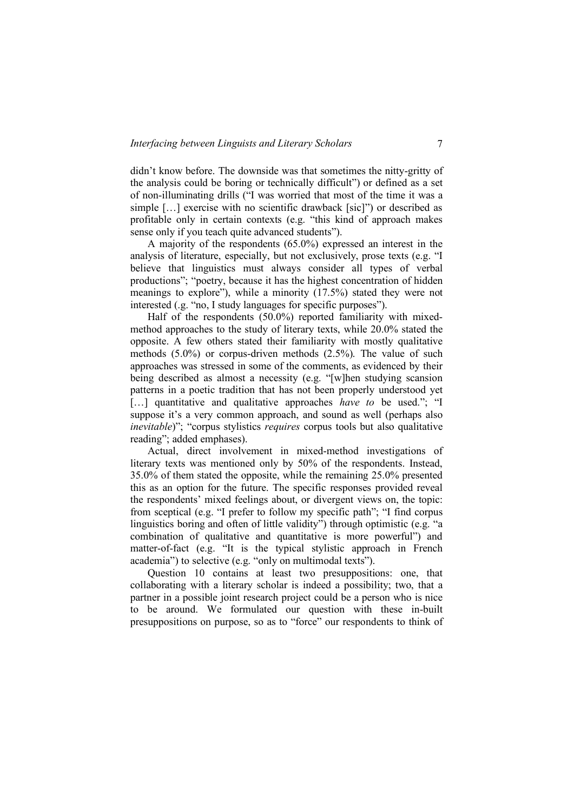didn't know before. The downside was that sometimes the nitty-gritty of the analysis could be boring or technically difficult") or defined as a set of non-illuminating drills ("I was worried that most of the time it was a simple […] exercise with no scientific drawback [sic]") or described as profitable only in certain contexts (e.g. "this kind of approach makes sense only if you teach quite advanced students").

A majority of the respondents (65.0%) expressed an interest in the analysis of literature, especially, but not exclusively, prose texts (e.g. "I believe that linguistics must always consider all types of verbal productions"; "poetry, because it has the highest concentration of hidden meanings to explore"), while a minority (17.5%) stated they were not interested (.g. "no, I study languages for specific purposes").

Half of the respondents (50.0%) reported familiarity with mixedmethod approaches to the study of literary texts, while 20.0% stated the opposite. A few others stated their familiarity with mostly qualitative methods (5.0%) or corpus-driven methods (2.5%). The value of such approaches was stressed in some of the comments, as evidenced by their being described as almost a necessity (e.g. "[w]hen studying scansion patterns in a poetic tradition that has not been properly understood yet [...] quantitative and qualitative approaches *have to* be used."; "I suppose it's a very common approach, and sound as well (perhaps also *inevitable*)"; "corpus stylistics *requires* corpus tools but also qualitative reading"; added emphases).

Actual, direct involvement in mixed-method investigations of literary texts was mentioned only by 50% of the respondents. Instead, 35.0% of them stated the opposite, while the remaining 25.0% presented this as an option for the future. The specific responses provided reveal the respondents' mixed feelings about, or divergent views on, the topic: from sceptical (e.g. "I prefer to follow my specific path"; "I find corpus linguistics boring and often of little validity") through optimistic (e.g. "a combination of qualitative and quantitative is more powerful") and matter-of-fact (e.g. "It is the typical stylistic approach in French academia") to selective (e.g. "only on multimodal texts").

Question 10 contains at least two presuppositions: one, that collaborating with a literary scholar is indeed a possibility; two, that a partner in a possible joint research project could be a person who is nice to be around. We formulated our question with these in-built presuppositions on purpose, so as to "force" our respondents to think of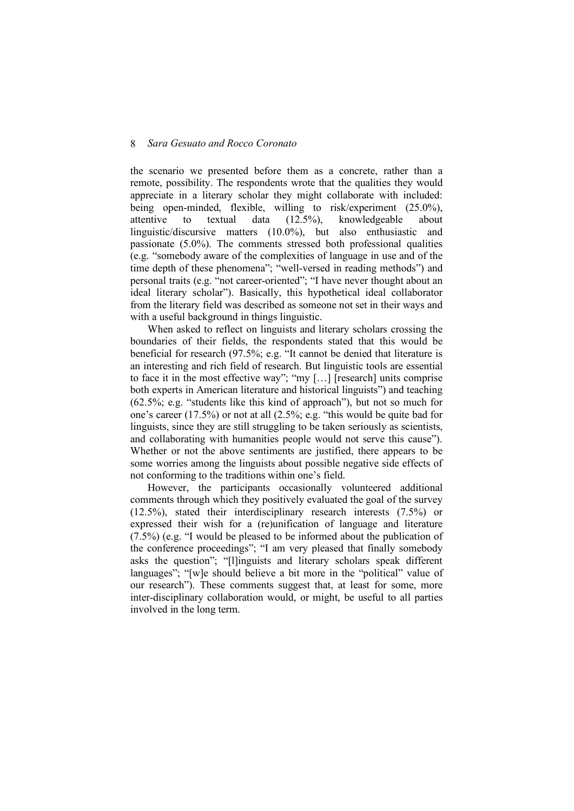the scenario we presented before them as a concrete, rather than a remote, possibility. The respondents wrote that the qualities they would appreciate in a literary scholar they might collaborate with included: being open-minded, flexible, willing to risk/experiment (25.0%), attentive to textual data (12.5%), knowledgeable about attentive to textual data (12.5%), knowledgeable about linguistic/discursive matters (10.0%), but also enthusiastic and passionate (5.0%). The comments stressed both professional qualities (e.g. "somebody aware of the complexities of language in use and of the time depth of these phenomena"; "well-versed in reading methods") and personal traits (e.g. "not career-oriented"; "I have never thought about an ideal literary scholar"). Basically, this hypothetical ideal collaborator from the literary field was described as someone not set in their ways and with a useful background in things linguistic.

When asked to reflect on linguists and literary scholars crossing the boundaries of their fields, the respondents stated that this would be beneficial for research (97.5%; e.g. "It cannot be denied that literature is an interesting and rich field of research. But linguistic tools are essential to face it in the most effective way"; "my […] [research] units comprise both experts in American literature and historical linguists") and teaching (62.5%; e.g. "students like this kind of approach"), but not so much for one's career (17.5%) or not at all (2.5%; e.g. "this would be quite bad for linguists, since they are still struggling to be taken seriously as scientists, and collaborating with humanities people would not serve this cause"). Whether or not the above sentiments are justified, there appears to be some worries among the linguists about possible negative side effects of not conforming to the traditions within one's field.

However, the participants occasionally volunteered additional comments through which they positively evaluated the goal of the survey (12.5%), stated their interdisciplinary research interests (7.5%) or expressed their wish for a (re)unification of language and literature (7.5%) (e.g. "I would be pleased to be informed about the publication of the conference proceedings"; "I am very pleased that finally somebody asks the question"; "[l]inguists and literary scholars speak different languages"; "[w]e should believe a bit more in the "political" value of our research"). These comments suggest that, at least for some, more inter-disciplinary collaboration would, or might, be useful to all parties involved in the long term.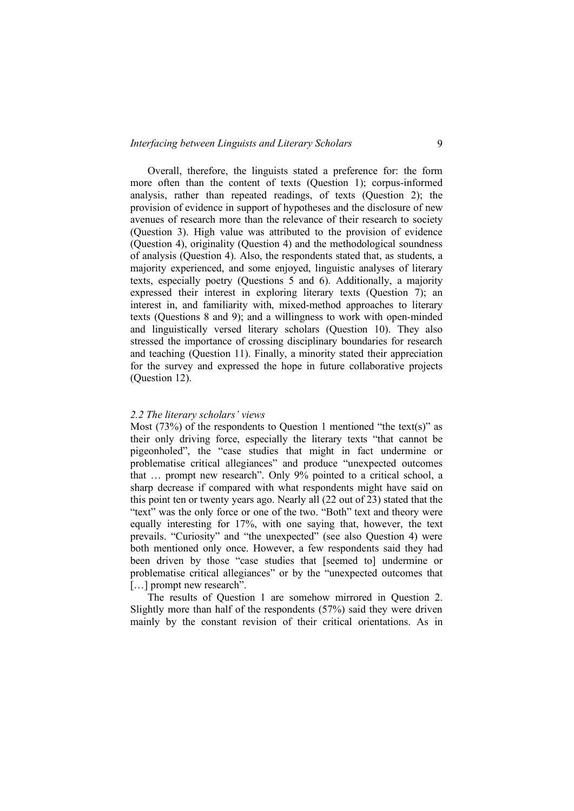Overall, therefore, the linguists stated a preference for: the form more often than the content of texts (Question 1); corpus-informed analysis, rather than repeated readings, of texts (Question 2); the provision of evidence in support of hypotheses and the disclosure of new avenues of research more than the relevance of their research to society (Question 3). High value was attributed to the provision of evidence (Question 4), originality (Question 4) and the methodological soundness of analysis (Question 4). Also, the respondents stated that, as students, a majority experienced, and some enjoyed, linguistic analyses of literary texts, especially poetry (Questions 5 and 6). Additionally, a majority expressed their interest in exploring literary texts (Question 7); an interest in, and familiarity with, mixed-method approaches to literary texts (Questions 8 and 9); and a willingness to work with open-minded and linguistically versed literary scholars (Question 10). They also stressed the importance of crossing disciplinary boundaries for research and teaching (Question 11). Finally, a minority stated their appreciation for the survey and expressed the hope in future collaborative projects (Question 12).

#### *2.2 The literary scholars' views*

Most (73%) of the respondents to Question 1 mentioned "the text(s)" as their only driving force, especially the literary texts "that cannot be pigeonholed", the "case studies that might in fact undermine or problematise critical allegiances" and produce "unexpected outcomes that … prompt new research". Only 9% pointed to a critical school, a sharp decrease if compared with what respondents might have said on this point ten or twenty years ago. Nearly all (22 out of 23) stated that the "text" was the only force or one of the two. "Both" text and theory were equally interesting for 17%, with one saying that, however, the text prevails. "Curiosity" and "the unexpected" (see also Question 4) were both mentioned only once. However, a few respondents said they had been driven by those "case studies that [seemed to] undermine or problematise critical allegiances" or by the "unexpected outcomes that [...] prompt new research".

The results of Question 1 are somehow mirrored in Question 2. Slightly more than half of the respondents (57%) said they were driven mainly by the constant revision of their critical orientations. As in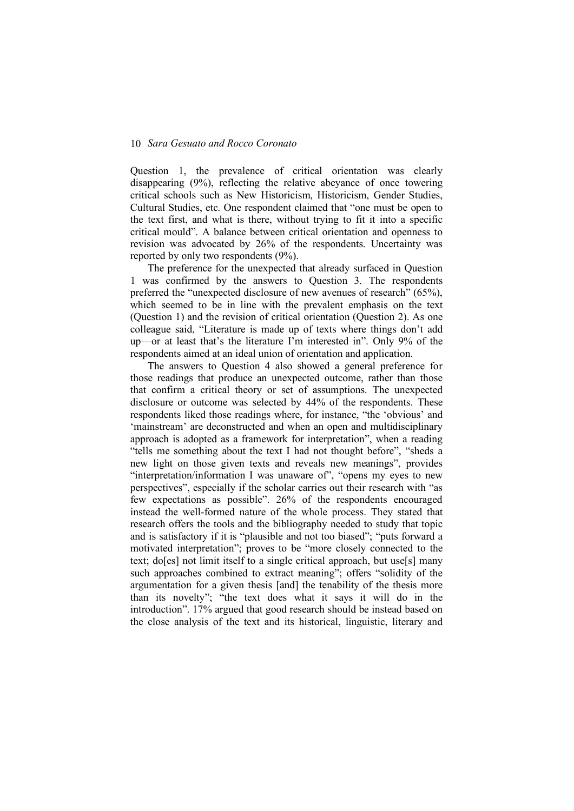Question 1, the prevalence of critical orientation was clearly disappearing (9%), reflecting the relative abeyance of once towering critical schools such as New Historicism, Historicism, Gender Studies, Cultural Studies, etc. One respondent claimed that "one must be open to the text first, and what is there, without trying to fit it into a specific critical mould". A balance between critical orientation and openness to revision was advocated by 26% of the respondents. Uncertainty was reported by only two respondents (9%).

The preference for the unexpected that already surfaced in Question 1 was confirmed by the answers to Question 3. The respondents preferred the "unexpected disclosure of new avenues of research" (65%), which seemed to be in line with the prevalent emphasis on the text (Question 1) and the revision of critical orientation (Question 2). As one colleague said, "Literature is made up of texts where things don't add up—or at least that's the literature I'm interested in". Only 9% of the respondents aimed at an ideal union of orientation and application.

The answers to Question 4 also showed a general preference for those readings that produce an unexpected outcome, rather than those that confirm a critical theory or set of assumptions. The unexpected disclosure or outcome was selected by 44% of the respondents. These respondents liked those readings where, for instance, "the 'obvious' and 'mainstream' are deconstructed and when an open and multidisciplinary approach is adopted as a framework for interpretation", when a reading "tells me something about the text I had not thought before", "sheds a new light on those given texts and reveals new meanings", provides "interpretation/information I was unaware of", "opens my eyes to new perspectives", especially if the scholar carries out their research with "as few expectations as possible". 26% of the respondents encouraged instead the well-formed nature of the whole process. They stated that research offers the tools and the bibliography needed to study that topic and is satisfactory if it is "plausible and not too biased"; "puts forward a motivated interpretation"; proves to be "more closely connected to the text; do[es] not limit itself to a single critical approach, but use[s] many such approaches combined to extract meaning"; offers "solidity of the argumentation for a given thesis [and] the tenability of the thesis more than its novelty"; "the text does what it says it will do in the introduction". 17% argued that good research should be instead based on the close analysis of the text and its historical, linguistic, literary and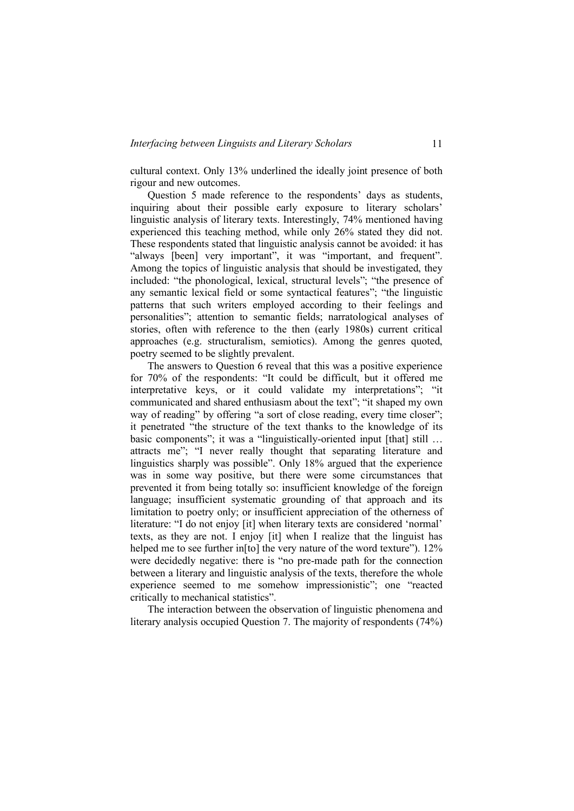cultural context. Only 13% underlined the ideally joint presence of both rigour and new outcomes.

Question 5 made reference to the respondents' days as students, inquiring about their possible early exposure to literary scholars' linguistic analysis of literary texts. Interestingly, 74% mentioned having experienced this teaching method, while only 26% stated they did not. These respondents stated that linguistic analysis cannot be avoided: it has "always [been] very important", it was "important, and frequent". Among the topics of linguistic analysis that should be investigated, they included: "the phonological, lexical, structural levels"; "the presence of any semantic lexical field or some syntactical features"; "the linguistic patterns that such writers employed according to their feelings and personalities"; attention to semantic fields; narratological analyses of stories, often with reference to the then (early 1980s) current critical approaches (e.g. structuralism, semiotics). Among the genres quoted, poetry seemed to be slightly prevalent.

The answers to Question 6 reveal that this was a positive experience for 70% of the respondents: "It could be difficult, but it offered me interpretative keys, or it could validate my interpretations"; "it communicated and shared enthusiasm about the text"; "it shaped my own way of reading" by offering "a sort of close reading, every time closer"; it penetrated "the structure of the text thanks to the knowledge of its basic components"; it was a "linguistically-oriented input [that] still ... attracts me"; "I never really thought that separating literature and linguistics sharply was possible". Only 18% argued that the experience was in some way positive, but there were some circumstances that prevented it from being totally so: insufficient knowledge of the foreign language; insufficient systematic grounding of that approach and its limitation to poetry only; or insufficient appreciation of the otherness of literature: "I do not enjoy [it] when literary texts are considered 'normal' texts, as they are not. I enjoy [it] when I realize that the linguist has helped me to see further in<sup>[to]</sup> the very nature of the word texture"). 12% were decidedly negative: there is "no pre-made path for the connection between a literary and linguistic analysis of the texts, therefore the whole experience seemed to me somehow impressionistic"; one "reacted critically to mechanical statistics".

The interaction between the observation of linguistic phenomena and literary analysis occupied Question 7. The majority of respondents (74%)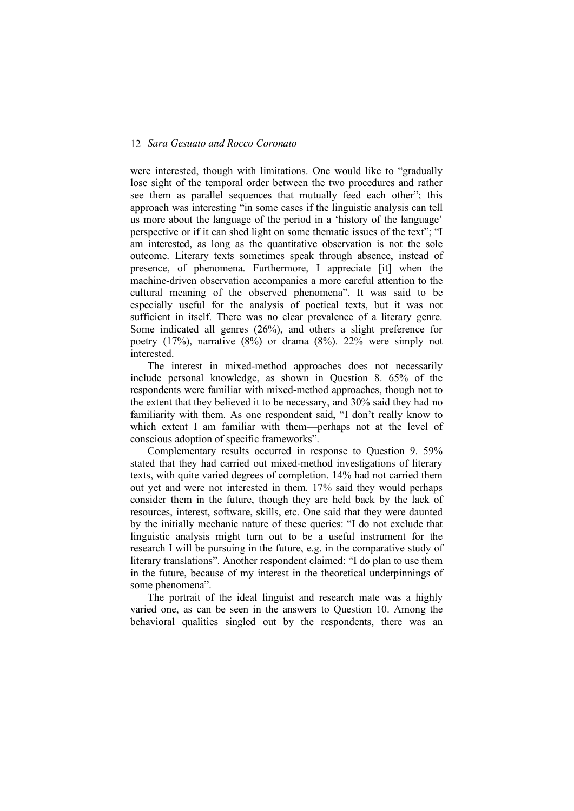were interested, though with limitations. One would like to "gradually lose sight of the temporal order between the two procedures and rather see them as parallel sequences that mutually feed each other"; this approach was interesting "in some cases if the linguistic analysis can tell us more about the language of the period in a 'history of the language' perspective or if it can shed light on some thematic issues of the text"; "I am interested, as long as the quantitative observation is not the sole outcome. Literary texts sometimes speak through absence, instead of presence, of phenomena. Furthermore, I appreciate [it] when the machine-driven observation accompanies a more careful attention to the cultural meaning of the observed phenomena". It was said to be especially useful for the analysis of poetical texts, but it was not sufficient in itself. There was no clear prevalence of a literary genre. Some indicated all genres (26%), and others a slight preference for poetry (17%), narrative (8%) or drama (8%). 22% were simply not interested.

The interest in mixed-method approaches does not necessarily include personal knowledge, as shown in Question 8. 65% of the respondents were familiar with mixed-method approaches, though not to the extent that they believed it to be necessary, and 30% said they had no familiarity with them. As one respondent said, "I don't really know to which extent I am familiar with them—perhaps not at the level of conscious adoption of specific frameworks".

Complementary results occurred in response to Question 9. 59% stated that they had carried out mixed-method investigations of literary texts, with quite varied degrees of completion. 14% had not carried them out yet and were not interested in them. 17% said they would perhaps consider them in the future, though they are held back by the lack of resources, interest, software, skills, etc. One said that they were daunted by the initially mechanic nature of these queries: "I do not exclude that linguistic analysis might turn out to be a useful instrument for the research I will be pursuing in the future, e.g. in the comparative study of literary translations". Another respondent claimed: "I do plan to use them in the future, because of my interest in the theoretical underpinnings of some phenomena".

The portrait of the ideal linguist and research mate was a highly varied one, as can be seen in the answers to Question 10. Among the behavioral qualities singled out by the respondents, there was an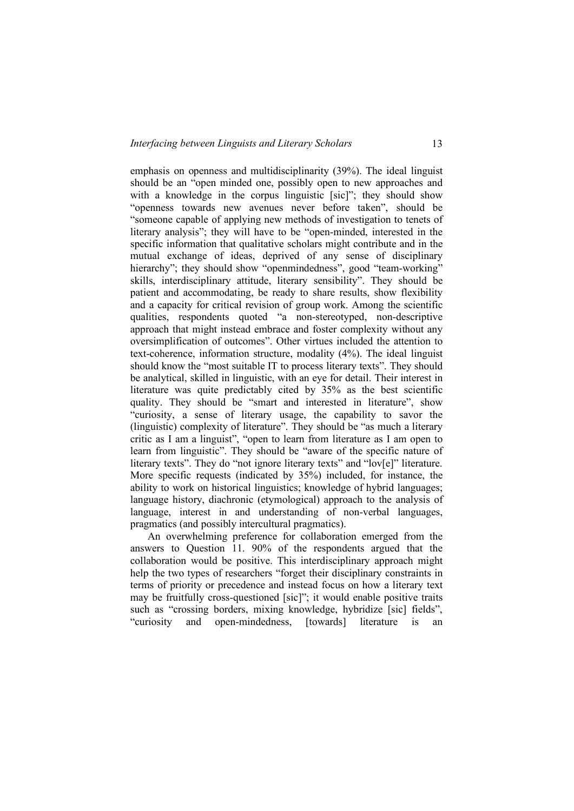emphasis on openness and multidisciplinarity (39%). The ideal linguist should be an "open minded one, possibly open to new approaches and with a knowledge in the corpus linguistic [sic]"; they should show "openness towards new avenues never before taken", should be "someone capable of applying new methods of investigation to tenets of literary analysis"; they will have to be "open-minded, interested in the specific information that qualitative scholars might contribute and in the mutual exchange of ideas, deprived of any sense of disciplinary hierarchy"; they should show "openmindedness", good "team-working" skills, interdisciplinary attitude, literary sensibility". They should be patient and accommodating, be ready to share results, show flexibility and a capacity for critical revision of group work. Among the scientific qualities, respondents quoted "a non-stereotyped, non-descriptive approach that might instead embrace and foster complexity without any oversimplification of outcomes". Other virtues included the attention to text-coherence, information structure, modality (4%). The ideal linguist should know the "most suitable IT to process literary texts". They should be analytical, skilled in linguistic, with an eye for detail. Their interest in literature was quite predictably cited by 35% as the best scientific quality. They should be "smart and interested in literature", show "curiosity, a sense of literary usage, the capability to savor the (linguistic) complexity of literature". They should be "as much a literary critic as I am a linguist", "open to learn from literature as I am open to learn from linguistic". They should be "aware of the specific nature of literary texts". They do "not ignore literary texts" and "lov[e]" literature. More specific requests (indicated by 35%) included, for instance, the ability to work on historical linguistics; knowledge of hybrid languages; language history, diachronic (etymological) approach to the analysis of language, interest in and understanding of non-verbal languages, pragmatics (and possibly intercultural pragmatics).

An overwhelming preference for collaboration emerged from the answers to Question 11. 90% of the respondents argued that the collaboration would be positive. This interdisciplinary approach might help the two types of researchers "forget their disciplinary constraints in terms of priority or precedence and instead focus on how a literary text may be fruitfully cross-questioned [sic]"; it would enable positive traits such as "crossing borders, mixing knowledge, hybridize [sic] fields", "curiosity and open-mindedness, [towards] literature is an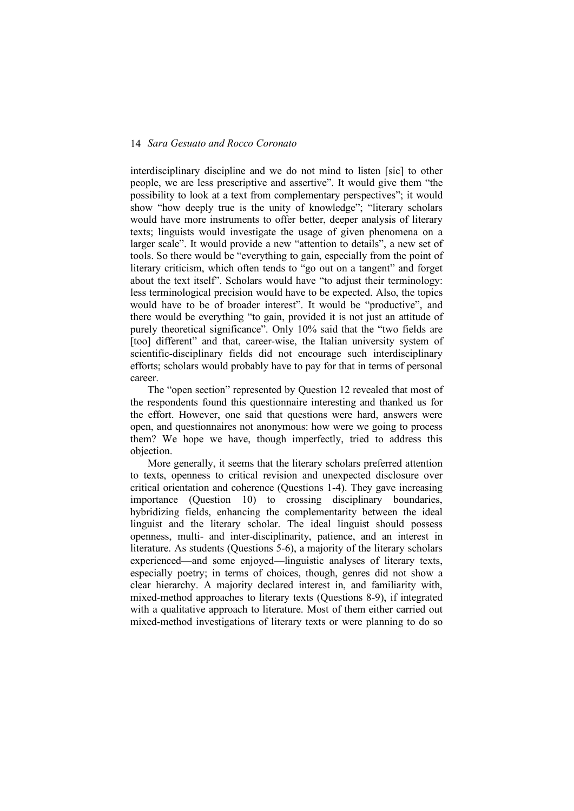interdisciplinary discipline and we do not mind to listen [sic] to other people, we are less prescriptive and assertive". It would give them "the possibility to look at a text from complementary perspectives"; it would show "how deeply true is the unity of knowledge"; "literary scholars would have more instruments to offer better, deeper analysis of literary texts; linguists would investigate the usage of given phenomena on a larger scale". It would provide a new "attention to details", a new set of tools. So there would be "everything to gain, especially from the point of literary criticism, which often tends to "go out on a tangent" and forget about the text itself". Scholars would have "to adjust their terminology: less terminological precision would have to be expected. Also, the topics would have to be of broader interest". It would be "productive", and there would be everything "to gain, provided it is not just an attitude of purely theoretical significance". Only 10% said that the "two fields are [too] different" and that, career-wise, the Italian university system of scientific-disciplinary fields did not encourage such interdisciplinary efforts; scholars would probably have to pay for that in terms of personal career.

The "open section" represented by Question 12 revealed that most of the respondents found this questionnaire interesting and thanked us for the effort. However, one said that questions were hard, answers were open, and questionnaires not anonymous: how were we going to process them? We hope we have, though imperfectly, tried to address this objection.

More generally, it seems that the literary scholars preferred attention to texts, openness to critical revision and unexpected disclosure over critical orientation and coherence (Questions 1-4). They gave increasing importance (Question 10) to crossing disciplinary boundaries, hybridizing fields, enhancing the complementarity between the ideal linguist and the literary scholar. The ideal linguist should possess openness, multi- and inter-disciplinarity, patience, and an interest in literature. As students (Questions 5-6), a majority of the literary scholars experienced—and some enjoyed—linguistic analyses of literary texts, especially poetry; in terms of choices, though, genres did not show a clear hierarchy. A majority declared interest in, and familiarity with, mixed-method approaches to literary texts (Questions 8-9), if integrated with a qualitative approach to literature. Most of them either carried out mixed-method investigations of literary texts or were planning to do so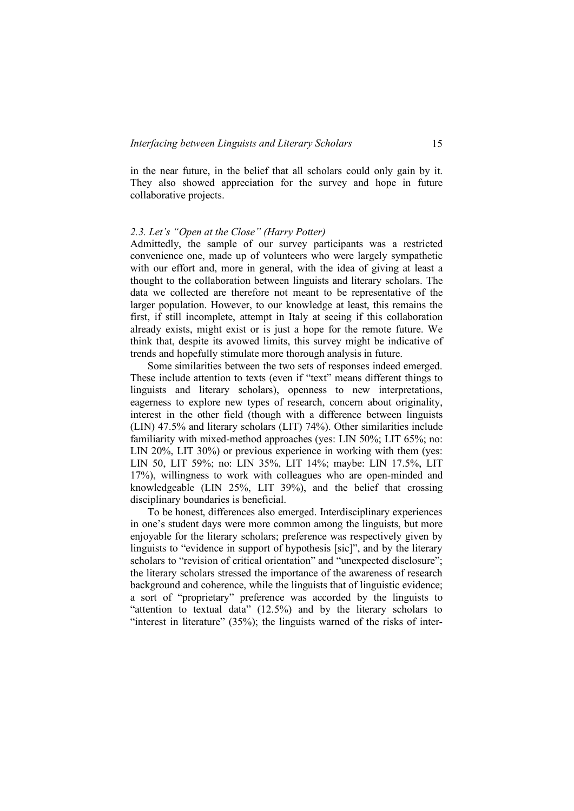in the near future, in the belief that all scholars could only gain by it. They also showed appreciation for the survey and hope in future collaborative projects.

#### *2.3. Let's "Open at the Close" (Harry Potter)*

Admittedly, the sample of our survey participants was a restricted convenience one, made up of volunteers who were largely sympathetic with our effort and, more in general, with the idea of giving at least a thought to the collaboration between linguists and literary scholars. The data we collected are therefore not meant to be representative of the larger population. However, to our knowledge at least, this remains the first, if still incomplete, attempt in Italy at seeing if this collaboration already exists, might exist or is just a hope for the remote future. We think that, despite its avowed limits, this survey might be indicative of trends and hopefully stimulate more thorough analysis in future.

Some similarities between the two sets of responses indeed emerged. These include attention to texts (even if "text" means different things to linguists and literary scholars), openness to new interpretations, eagerness to explore new types of research, concern about originality, interest in the other field (though with a difference between linguists (LIN) 47.5% and literary scholars (LIT) 74%). Other similarities include familiarity with mixed-method approaches (yes: LIN 50%; LIT 65%; no: LIN 20%, LIT 30%) or previous experience in working with them (yes: LIN 50, LIT 59%; no: LIN 35%, LIT 14%; maybe: LIN 17.5%, LIT 17%), willingness to work with colleagues who are open-minded and knowledgeable (LIN 25%, LIT 39%), and the belief that crossing disciplinary boundaries is beneficial.

To be honest, differences also emerged. Interdisciplinary experiences in one's student days were more common among the linguists, but more enjoyable for the literary scholars; preference was respectively given by linguists to "evidence in support of hypothesis [sic]", and by the literary scholars to "revision of critical orientation" and "unexpected disclosure"; the literary scholars stressed the importance of the awareness of research background and coherence, while the linguists that of linguistic evidence; a sort of "proprietary" preference was accorded by the linguists to "attention to textual data" (12.5%) and by the literary scholars to "interest in literature" (35%); the linguists warned of the risks of inter-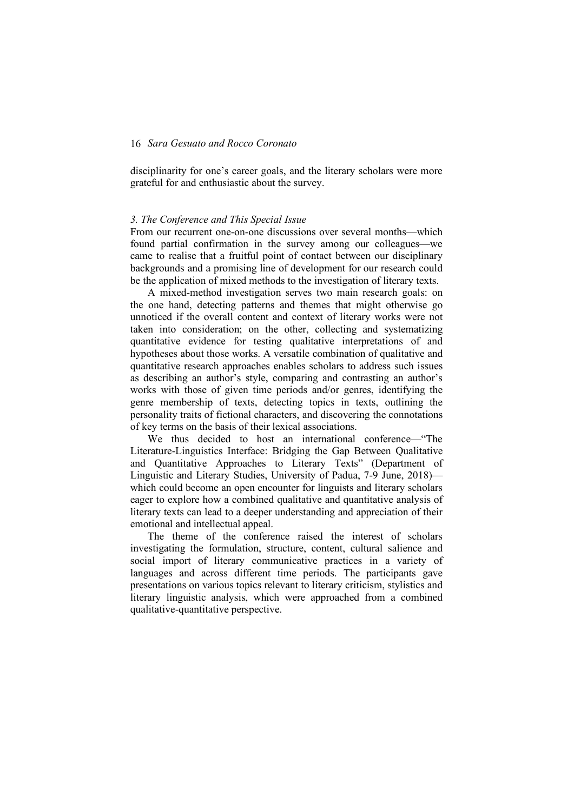disciplinarity for one's career goals, and the literary scholars were more grateful for and enthusiastic about the survey.

## *3. The Conference and This Special Issue*

From our recurrent one-on-one discussions over several months—which found partial confirmation in the survey among our colleagues—we came to realise that a fruitful point of contact between our disciplinary backgrounds and a promising line of development for our research could be the application of mixed methods to the investigation of literary texts.

A mixed-method investigation serves two main research goals: on the one hand, detecting patterns and themes that might otherwise go unnoticed if the overall content and context of literary works were not taken into consideration; on the other, collecting and systematizing quantitative evidence for testing qualitative interpretations of and hypotheses about those works. A versatile combination of qualitative and quantitative research approaches enables scholars to address such issues as describing an author's style, comparing and contrasting an author's works with those of given time periods and/or genres, identifying the genre membership of texts, detecting topics in texts, outlining the personality traits of fictional characters, and discovering the connotations of key terms on the basis of their lexical associations.

We thus decided to host an international conference—"The Literature-Linguistics Interface: Bridging the Gap Between Qualitative and Quantitative Approaches to Literary Texts" (Department of Linguistic and Literary Studies, University of Padua, 7-9 June, 2018) which could become an open encounter for linguists and literary scholars eager to explore how a combined qualitative and quantitative analysis of literary texts can lead to a deeper understanding and appreciation of their emotional and intellectual appeal.

The theme of the conference raised the interest of scholars investigating the formulation, structure, content, cultural salience and social import of literary communicative practices in a variety of languages and across different time periods. The participants gave presentations on various topics relevant to literary criticism, stylistics and literary linguistic analysis, which were approached from a combined qualitative-quantitative perspective.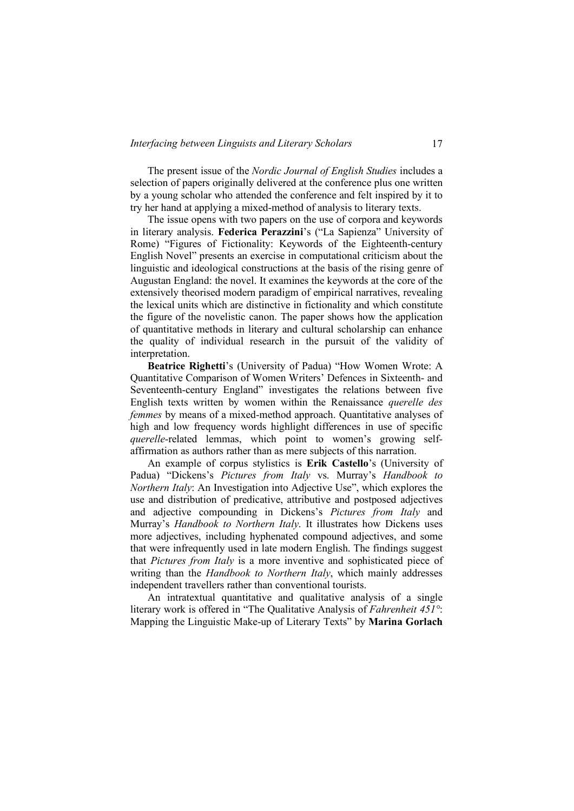The present issue of the *Nordic Journal of English Studies* includes a selection of papers originally delivered at the conference plus one written by a young scholar who attended the conference and felt inspired by it to try her hand at applying a mixed-method of analysis to literary texts.

The issue opens with two papers on the use of corpora and keywords in literary analysis. **Federica Perazzini**'s ("La Sapienza" University of Rome) "Figures of Fictionality: Keywords of the Eighteenth-century English Novel" presents an exercise in computational criticism about the linguistic and ideological constructions at the basis of the rising genre of Augustan England: the novel. It examines the keywords at the core of the extensively theorised modern paradigm of empirical narratives, revealing the lexical units which are distinctive in fictionality and which constitute the figure of the novelistic canon. The paper shows how the application of quantitative methods in literary and cultural scholarship can enhance the quality of individual research in the pursuit of the validity of interpretation.

**Beatrice Righetti**'s (University of Padua) "How Women Wrote: A Quantitative Comparison of Women Writers' Defences in Sixteenth- and Seventeenth-century England" investigates the relations between five English texts written by women within the Renaissance *querelle des femmes* by means of a mixed-method approach. Quantitative analyses of high and low frequency words highlight differences in use of specific *querelle*-related lemmas, which point to women's growing selfaffirmation as authors rather than as mere subjects of this narration.

An example of corpus stylistics is **Erik Castello**'s (University of Padua) "Dickens's *Pictures from Italy* vs. Murray's *Handbook to Northern Italy*: An Investigation into Adjective Use", which explores the use and distribution of predicative, attributive and postposed adjectives and adjective compounding in Dickens's *Pictures from Italy* and Murray's *Handbook to Northern Italy*. It illustrates how Dickens uses more adjectives, including hyphenated compound adjectives, and some that were infrequently used in late modern English. The findings suggest that *Pictures from Italy* is a more inventive and sophisticated piece of writing than the *Handbook to Northern Italy*, which mainly addresses independent travellers rather than conventional tourists.

An intratextual quantitative and qualitative analysis of a single literary work is offered in "The Qualitative Analysis of *Fahrenheit 451°*: Mapping the Linguistic Make-up of Literary Texts" by **Marina Gorlach**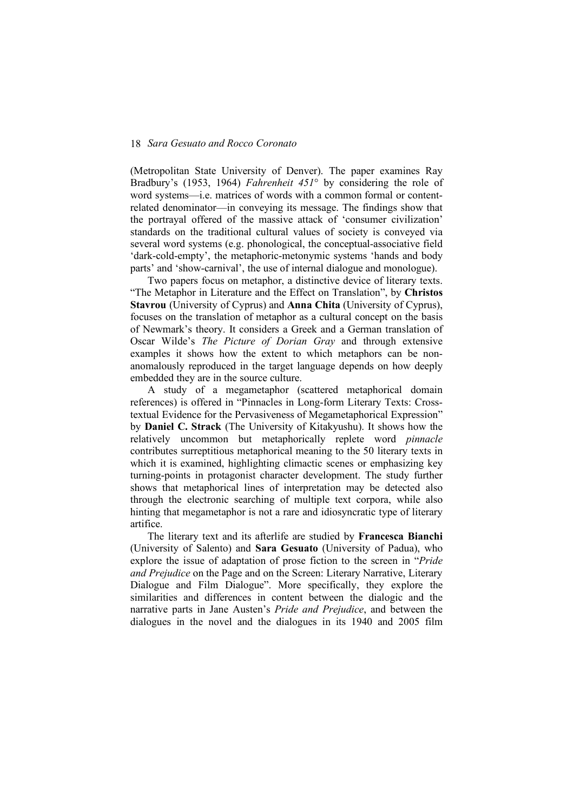(Metropolitan State University of Denver). The paper examines Ray Bradbury's (1953, 1964) *Fahrenheit 451*° by considering the role of word systems—i.e. matrices of words with a common formal or contentrelated denominator—in conveying its message. The findings show that the portrayal offered of the massive attack of 'consumer civilization' standards on the traditional cultural values of society is conveyed via several word systems (e.g. phonological, the conceptual-associative field 'dark-cold-empty', the metaphoric-metonymic systems 'hands and body parts' and 'show-carnival', the use of internal dialogue and monologue).

Two papers focus on metaphor, a distinctive device of literary texts. "The Metaphor in Literature and the Effect on Translation", by **Christos Stavrou** (University of Cyprus) and **Anna Chita** (University of Cyprus), focuses on the translation of metaphor as a cultural concept on the basis of Newmark's theory. It considers a Greek and a German translation of Oscar Wilde's *The Picture of Dorian Gray* and through extensive examples it shows how the extent to which metaphors can be nonanomalously reproduced in the target language depends on how deeply embedded they are in the source culture.

A study of a megametaphor (scattered metaphorical domain references) is offered in "Pinnacles in Long-form Literary Texts: Crosstextual Evidence for the Pervasiveness of Megametaphorical Expression" by **Daniel C. Strack** (The University of Kitakyushu). It shows how the relatively uncommon but metaphorically replete word *pinnacle* contributes surreptitious metaphorical meaning to the 50 literary texts in which it is examined, highlighting climactic scenes or emphasizing key turning-points in protagonist character development. The study further shows that metaphorical lines of interpretation may be detected also through the electronic searching of multiple text corpora, while also hinting that megametaphor is not a rare and idiosyncratic type of literary artifice.

The literary text and its afterlife are studied by **Francesca Bianchi**  (University of Salento) and **Sara Gesuato** (University of Padua), who explore the issue of adaptation of prose fiction to the screen in "*Pride and Prejudice* on the Page and on the Screen: Literary Narrative, Literary Dialogue and Film Dialogue". More specifically, they explore the similarities and differences in content between the dialogic and the narrative parts in Jane Austen's *Pride and Prejudice*, and between the dialogues in the novel and the dialogues in its 1940 and 2005 film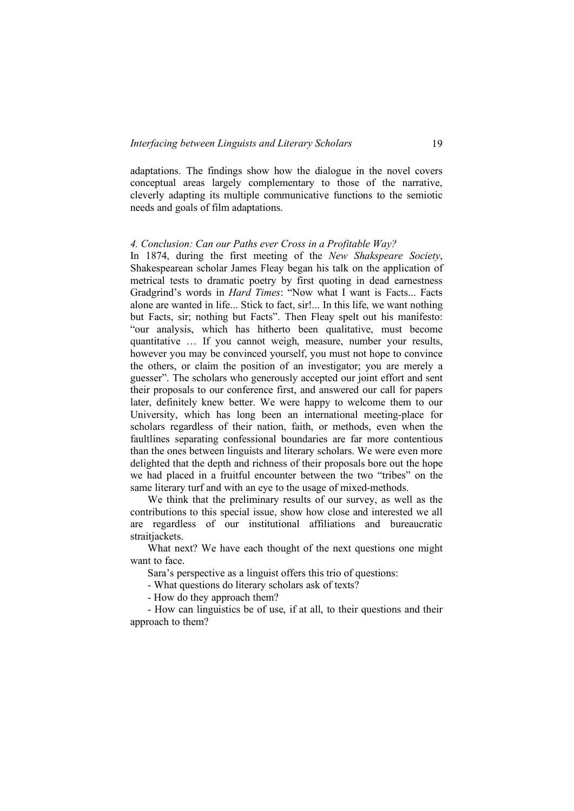adaptations. The findings show how the dialogue in the novel covers conceptual areas largely complementary to those of the narrative, cleverly adapting its multiple communicative functions to the semiotic needs and goals of film adaptations.

#### *4. Conclusion: Can our Paths ever Cross in a Profitable Way?*

In 1874, during the first meeting of the *New Shakspeare Society*, Shakespearean scholar James Fleay began his talk on the application of metrical tests to dramatic poetry by first quoting in dead earnestness Gradgrind's words in *Hard Times*: "Now what I want is Facts... Facts alone are wanted in life... Stick to fact, sir!... In this life, we want nothing but Facts, sir; nothing but Facts". Then Fleay spelt out his manifesto: "our analysis, which has hitherto been qualitative, must become quantitative … If you cannot weigh, measure, number your results, however you may be convinced yourself, you must not hope to convince the others, or claim the position of an investigator; you are merely a guesser". The scholars who generously accepted our joint effort and sent their proposals to our conference first, and answered our call for papers later, definitely knew better. We were happy to welcome them to our University, which has long been an international meeting-place for scholars regardless of their nation, faith, or methods, even when the faultlines separating confessional boundaries are far more contentious than the ones between linguists and literary scholars. We were even more delighted that the depth and richness of their proposals bore out the hope we had placed in a fruitful encounter between the two "tribes" on the same literary turf and with an eye to the usage of mixed-methods.

We think that the preliminary results of our survey, as well as the contributions to this special issue, show how close and interested we all are regardless of our institutional affiliations and bureaucratic straitiackets.

What next? We have each thought of the next questions one might want to face

Sara's perspective as a linguist offers this trio of questions:

- What questions do literary scholars ask of texts?

- How do they approach them?

- How can linguistics be of use, if at all, to their questions and their approach to them?